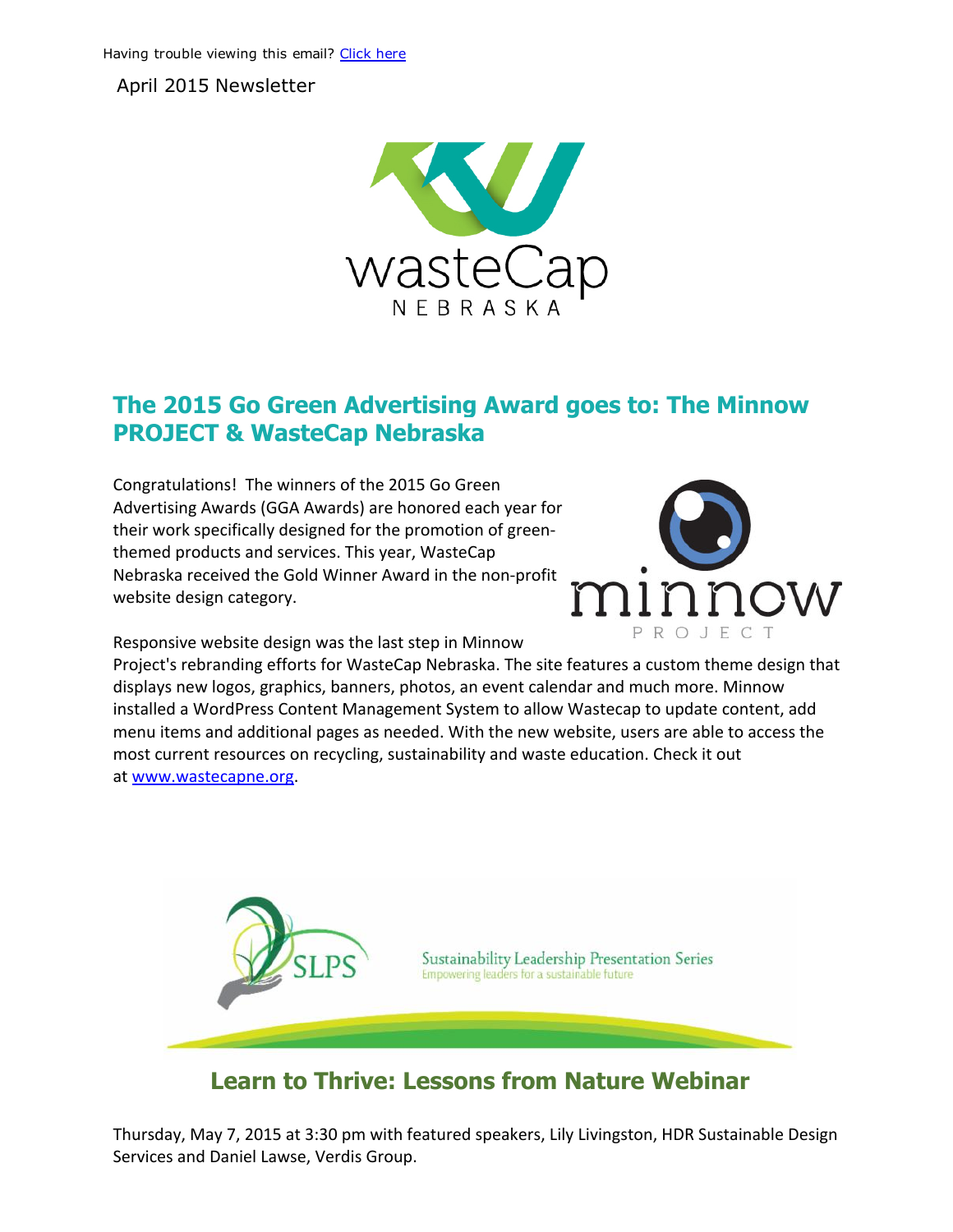April 2015 Newsletter



## The 2015 Go Green Advertising Award goes to: The Minnow PROJECT & WasteCap Nebraska

Congratulations! The winners of the 2015 Go Green Advertising Awards (GGA Awards) are honored each year for their work specifically designed for the promotion of green‐ themed products and services. This year, WasteCap Nebraska received the Gold Winner Award in the non‐profit website design category.



Responsive website design was the last step in Minnow

Project's rebranding efforts for WasteCap Nebraska. The site features a custom theme design that displays new logos, graphics, banners, photos, an event calendar and much more. Minnow installed a WordPress Content Management System to allow Wastecap to update content, add menu items and additional pages as needed. With the new website, users are able to access the most current resources on recycling, sustainability and waste education. Check it out at [www.wastecapne.org.](http://www.wastecapne.org/)



## Learn to Thrive: Lessons from Nature Webinar

Thursday, May 7, 2015 at 3:30 pm with featured speakers, Lily Livingston, HDR Sustainable Design Services and Daniel Lawse, Verdis Group.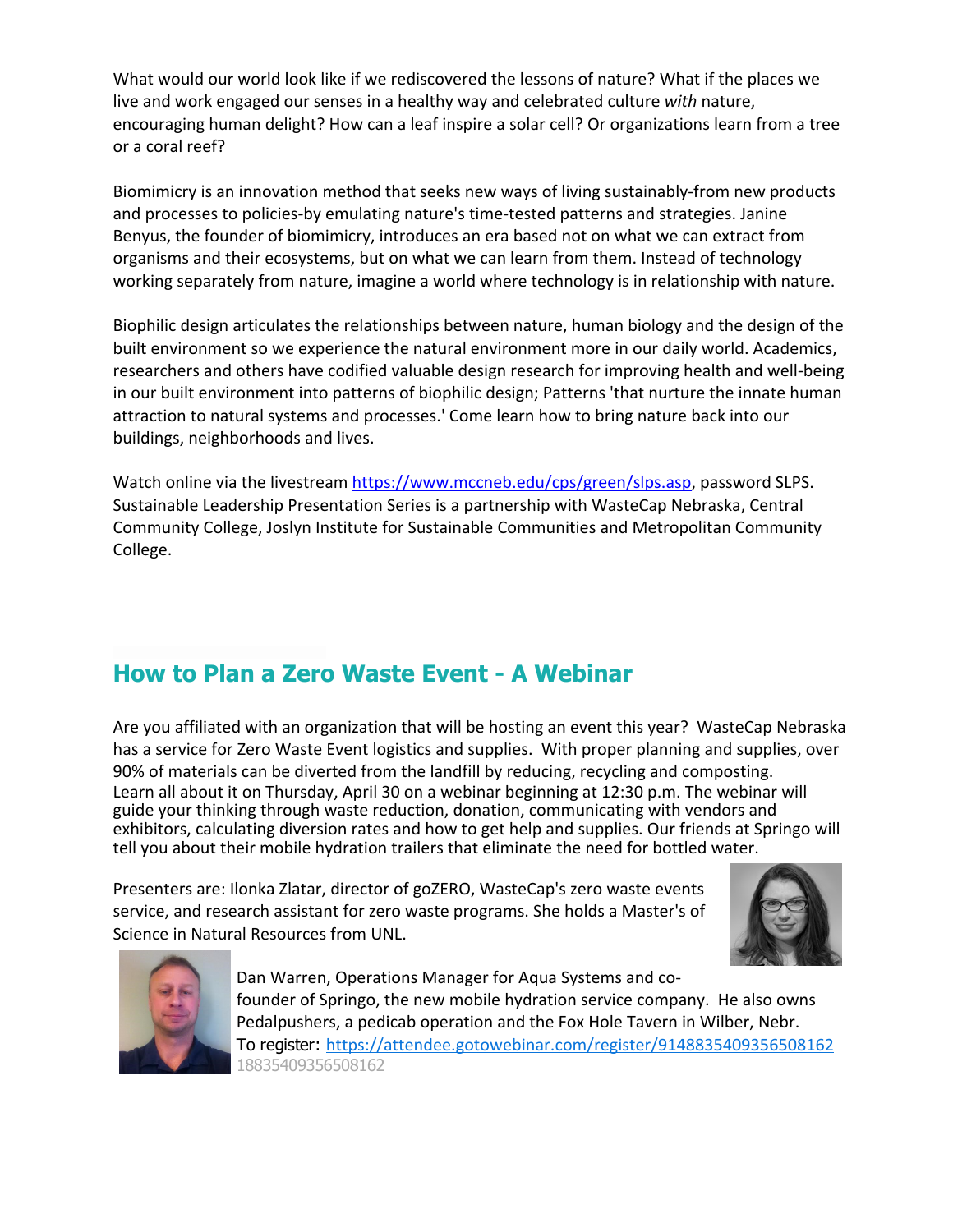What would our world look like if we rediscovered the lessons of nature? What if the places we live and work engaged our senses in a healthy way and celebrated culture *with* nature, encouraging human delight? How can a leaf inspire a solar cell? Or organizations learn from a tree or a coral reef?

Biomimicry is an innovation method that seeks new ways of living sustainably‐from new products and processes to policies-by emulating nature's time-tested patterns and strategies. Janine Benyus, the founder of biomimicry, introduces an era based not on what we can extract from organisms and their ecosystems, but on what we can learn from them. Instead of technology working separately from nature, imagine a world where technology is in relationship with nature.

Biophilic design articulates the relationships between nature, human biology and the design of the built environment so we experience the natural environment more in our daily world. Academics, researchers and others have codified valuable design research for improving health and well‐being in our built environment into patterns of biophilic design; Patterns 'that nurture the innate human attraction to natural systems and processes.' Come learn how to bring nature back into our buildings, neighborhoods and lives.

Watch online via the livestream [https://www.mccneb.edu/cps/green/slps.asp,](https://www.mccneb.edu/cps/green/slps.asp) password SLPS. Sustainable Leadership Presentation Series is a partnership with WasteCap Nebraska, Central Community College, Joslyn Institute for Sustainable Communities and Metropolitan Community College.

## How to Plan a Zero Waste Event - A Webinar

Are you affiliated with an organization that will be hosting an event this year? WasteCap Nebraska has a service for Zero Waste Event logistics and supplies. With proper planning and supplies, over 90% of materials can be diverted from the landfill by reducing, recycling and composting. Learn all about it on Thursday, April 30 on a webinar beginning at 12:30 p.m. The webinar will guide your thinking through waste reduction, donation, communicating with vendors and exhibitors, calculating diversion rates and how to get help and supplies. Our friends at Springo will tell you about their mobile hydration trailers that eliminate the need for bottled water.

Presenters are: Ilonka Zlatar, director of goZERO, WasteCap's zero waste events service, and research assistant for zero waste programs. She holds a Master's of Science in Natural Resources from UNL.





Dan Warren, Operations Manager for Aqua Systems and co‐ founder of Springo, the new mobile hydration service company. He also owns Pedalpushers, a pedicab operation and the Fox Hole Tavern in Wilber, Nebr. To register: <https://attendee.gotowebinar.com/register/9148835409356508162> [18835409356508162](https://attendee.gotowebinar.com/register/9148835409356508162)